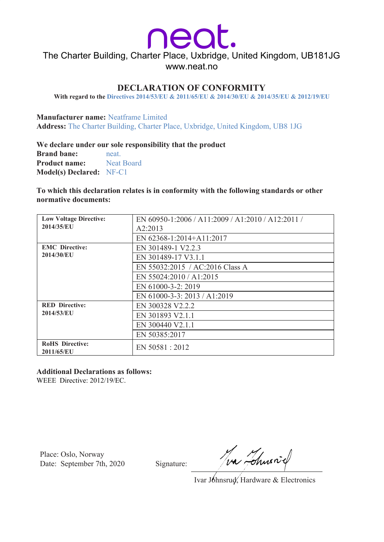neat

The Charter Building, Charter Place, Uxbridge, United Kingdom, UB181JG www.neat.no

## **DECLARATION OF CONFORMITY**

**With regard to the Directives 2014/53/EU & 2011/65/EU & 2014/30/EU & 2014/35/EU & 2012/19/EU**

**Manufacturer name:** Neatframe Limited **Address:** The Charter Building, Charter Place, Uxbridge, United Kingdom, UB8 1JG

**We declare under our sole responsibility that the product Brand bane:** neat. **Product name:** Neat Board **Model(s) Declared:** NF-C1

**To which this declaration relates is in conformity with the following standards or other normative documents:**

| <b>Low Voltage Directive:</b>        | EN 60950-1:2006 / A11:2009 / A1:2010 / A12:2011 / |
|--------------------------------------|---------------------------------------------------|
| 2014/35/EU                           | A2:2013                                           |
|                                      | EN 62368-1:2014+A11:2017                          |
| <b>EMC</b> Directive:<br>2014/30/EU  | EN 301489-1 V2.2.3                                |
|                                      | EN 301489-17 V3.1.1                               |
|                                      | EN 55032:2015 / AC:2016 Class A                   |
|                                      | EN 55024:2010 / A1:2015                           |
|                                      | EN 61000-3-2: 2019                                |
|                                      | EN 61000-3-3: 2013 / A1:2019                      |
| <b>RED Directive:</b><br>2014/53/EU  | EN 300328 V2.2.2                                  |
|                                      | EN 301893 V2.1.1                                  |
|                                      | EN 300440 V2.1.1                                  |
|                                      | EN 50385:2017                                     |
| <b>RoHS</b> Directive:<br>2011/65/EU | EN 50581 : 2012                                   |

### **Additional Declarations as follows:**

WEEE Directive: 2012/19/EC.

Place: Oslo, Norway Date: September 7th, 2020 Signature:

Tva Tchusniel

Ivar Jóhnsrud, Hardware & Electronics